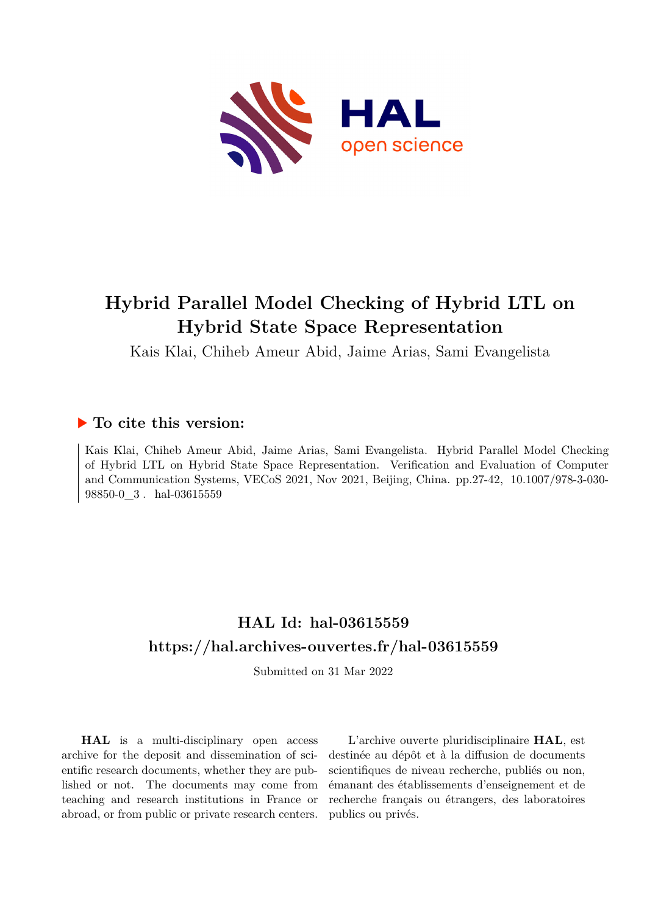

# **Hybrid Parallel Model Checking of Hybrid LTL on Hybrid State Space Representation**

Kais Klai, Chiheb Ameur Abid, Jaime Arias, Sami Evangelista

# **To cite this version:**

Kais Klai, Chiheb Ameur Abid, Jaime Arias, Sami Evangelista. Hybrid Parallel Model Checking of Hybrid LTL on Hybrid State Space Representation. Verification and Evaluation of Computer and Communication Systems, VECoS 2021, Nov 2021, Beijing, China. pp.27-42, 10.1007/978-3-030-98850-0 $3.$ hal-03615559

# **HAL Id: hal-03615559 <https://hal.archives-ouvertes.fr/hal-03615559>**

Submitted on 31 Mar 2022

**HAL** is a multi-disciplinary open access archive for the deposit and dissemination of scientific research documents, whether they are published or not. The documents may come from teaching and research institutions in France or abroad, or from public or private research centers.

L'archive ouverte pluridisciplinaire **HAL**, est destinée au dépôt et à la diffusion de documents scientifiques de niveau recherche, publiés ou non, émanant des établissements d'enseignement et de recherche français ou étrangers, des laboratoires publics ou privés.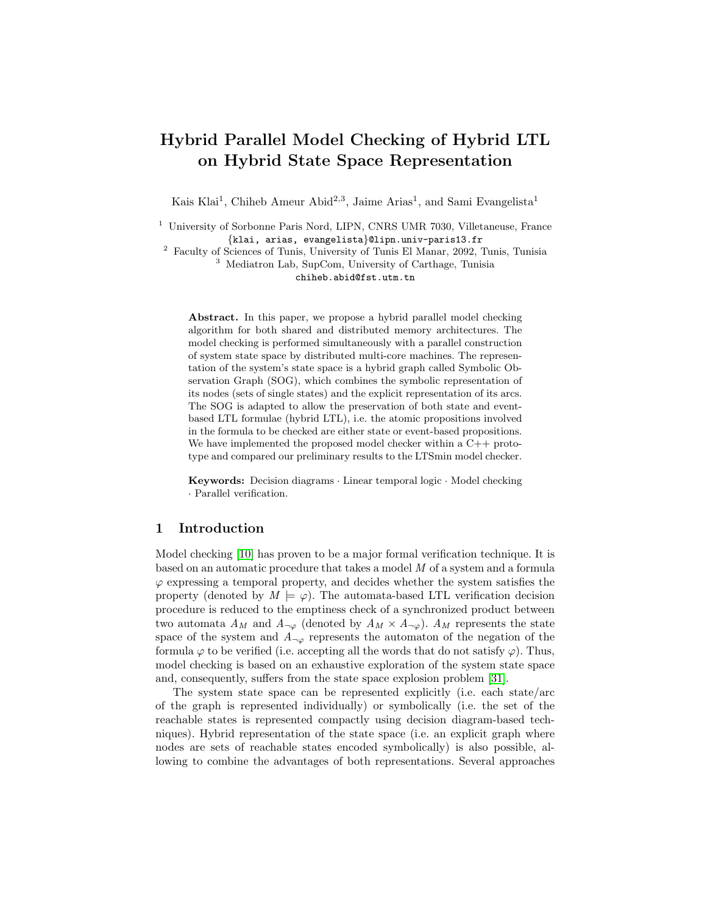# Hybrid Parallel Model Checking of Hybrid LTL on Hybrid State Space Representation

Kais Klai<sup>1</sup>, Chiheb Ameur Abid<sup>2,3</sup>, Jaime Arias<sup>1</sup>, and Sami Evangelista<sup>1</sup>

<sup>1</sup> University of Sorbonne Paris Nord, LIPN, CNRS UMR 7030, Villetaneuse, France {klai, arias, evangelista}@lipn.univ-paris13.fr

<sup>2</sup> Faculty of Sciences of Tunis, University of Tunis El Manar, 2092, Tunis, Tunisia <sup>3</sup> Mediatron Lab, SupCom, University of Carthage, Tunisia chiheb.abid@fst.utm.tn

Abstract. In this paper, we propose a hybrid parallel model checking algorithm for both shared and distributed memory architectures. The model checking is performed simultaneously with a parallel construction of system state space by distributed multi-core machines. The representation of the system's state space is a hybrid graph called Symbolic Observation Graph (SOG), which combines the symbolic representation of its nodes (sets of single states) and the explicit representation of its arcs. The SOG is adapted to allow the preservation of both state and eventbased LTL formulae (hybrid LTL), i.e. the atomic propositions involved in the formula to be checked are either state or event-based propositions. We have implemented the proposed model checker within a C++ prototype and compared our preliminary results to the LTSmin model checker.

Keywords: Decision diagrams · Linear temporal logic · Model checking · Parallel verification.

### 1 Introduction

Model checking [10] has proven to be a major formal verification technique. It is based on an automatic procedure that takes a model M of a system and a formula  $\varphi$  expressing a temporal property, and decides whether the system satisfies the property (denoted by  $M \models \varphi$ ). The automata-based LTL verification decision procedure is reduced to the emptiness check of a synchronized product between two automata  $A_M$  and  $A_{\neg \varphi}$  (denoted by  $A_M \times A_{\neg \varphi}$ ).  $A_M$  represents the state space of the system and  $A_{\neg \varphi}$  represents the automaton of the negation of the formula  $\varphi$  to be verified (i.e. accepting all the words that do not satisfy  $\varphi$ ). Thus, model checking is based on an exhaustive exploration of the system state space and, consequently, suffers from the state space explosion problem [31].

The system state space can be represented explicitly (i.e. each state/arc of the graph is represented individually) or symbolically (i.e. the set of the reachable states is represented compactly using decision diagram-based techniques). Hybrid representation of the state space (i.e. an explicit graph where nodes are sets of reachable states encoded symbolically) is also possible, allowing to combine the advantages of both representations. Several approaches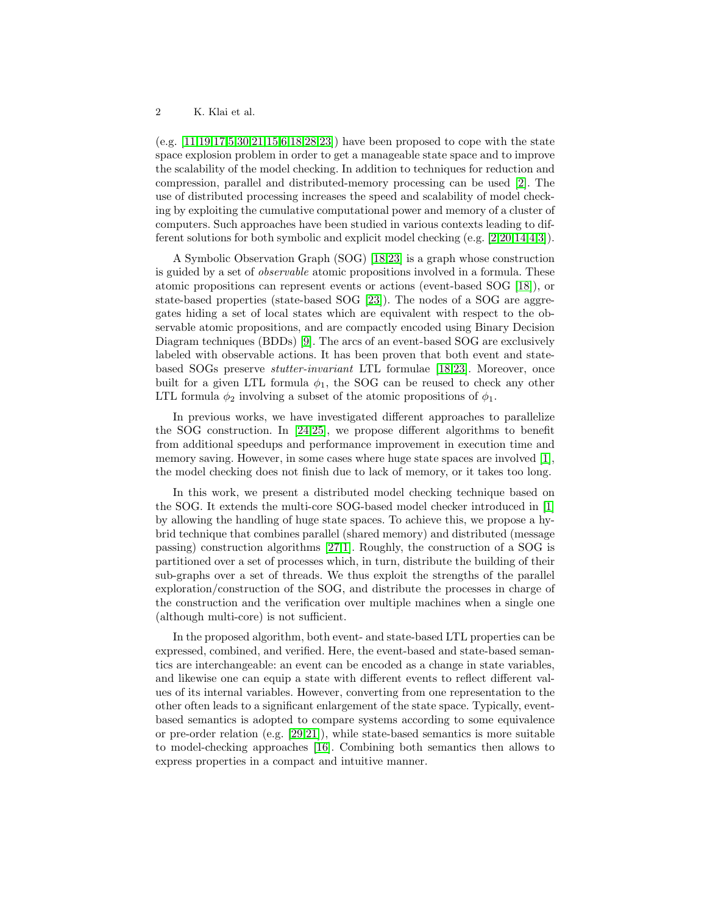(e.g.  $[11,19,17,5,30,21,15,6,18,28,23]$ ) have been proposed to cope with the state space explosion problem in order to get a manageable state space and to improve the scalability of the model checking. In addition to techniques for reduction and compression, parallel and distributed-memory processing can be used [2]. The use of distributed processing increases the speed and scalability of model checking by exploiting the cumulative computational power and memory of a cluster of computers. Such approaches have been studied in various contexts leading to different solutions for both symbolic and explicit model checking (e.g. [2,20,14,4,3]).

A Symbolic Observation Graph (SOG) [18,23] is a graph whose construction is guided by a set of observable atomic propositions involved in a formula. These atomic propositions can represent events or actions (event-based SOG [18]), or state-based properties (state-based SOG [23]). The nodes of a SOG are aggregates hiding a set of local states which are equivalent with respect to the observable atomic propositions, and are compactly encoded using Binary Decision Diagram techniques (BDDs) [9]. The arcs of an event-based SOG are exclusively labeled with observable actions. It has been proven that both event and statebased SOGs preserve stutter-invariant LTL formulae [18,23]. Moreover, once built for a given LTL formula  $\phi_1$ , the SOG can be reused to check any other LTL formula  $\phi_2$  involving a subset of the atomic propositions of  $\phi_1$ .

In previous works, we have investigated different approaches to parallelize the SOG construction. In [24,25], we propose different algorithms to benefit from additional speedups and performance improvement in execution time and memory saving. However, in some cases where huge state spaces are involved [1], the model checking does not finish due to lack of memory, or it takes too long.

In this work, we present a distributed model checking technique based on the SOG. It extends the multi-core SOG-based model checker introduced in [1] by allowing the handling of huge state spaces. To achieve this, we propose a hybrid technique that combines parallel (shared memory) and distributed (message passing) construction algorithms [27,1]. Roughly, the construction of a SOG is partitioned over a set of processes which, in turn, distribute the building of their sub-graphs over a set of threads. We thus exploit the strengths of the parallel exploration/construction of the SOG, and distribute the processes in charge of the construction and the verification over multiple machines when a single one (although multi-core) is not sufficient.

In the proposed algorithm, both event- and state-based LTL properties can be expressed, combined, and verified. Here, the event-based and state-based semantics are interchangeable: an event can be encoded as a change in state variables, and likewise one can equip a state with different events to reflect different values of its internal variables. However, converting from one representation to the other often leads to a significant enlargement of the state space. Typically, eventbased semantics is adopted to compare systems according to some equivalence or pre-order relation (e.g.  $[29,21]$ ), while state-based semantics is more suitable to model-checking approaches [16]. Combining both semantics then allows to express properties in a compact and intuitive manner.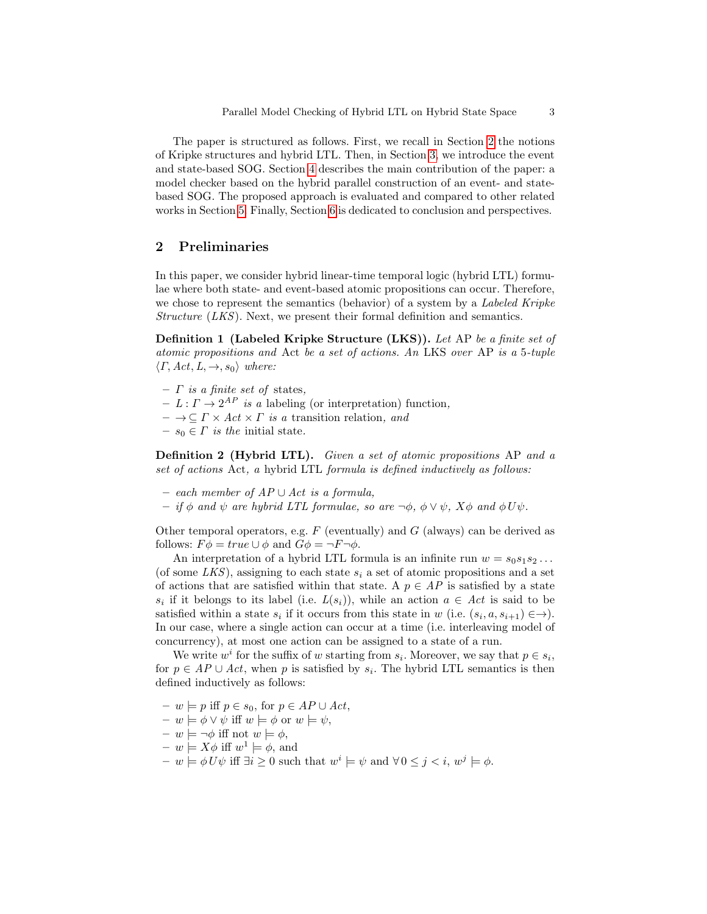The paper is structured as follows. First, we recall in Section 2 the notions of Kripke structures and hybrid LTL. Then, in Section 3, we introduce the event and state-based SOG. Section 4 describes the main contribution of the paper: a model checker based on the hybrid parallel construction of an event- and statebased SOG. The proposed approach is evaluated and compared to other related works in Section 5. Finally, Section 6 is dedicated to conclusion and perspectives.

# 2 Preliminaries

In this paper, we consider hybrid linear-time temporal logic (hybrid LTL) formulae where both state- and event-based atomic propositions can occur. Therefore, we chose to represent the semantics (behavior) of a system by a Labeled Kripke Structure (LKS). Next, we present their formal definition and semantics.

Definition 1 (Labeled Kripke Structure (LKS)). Let AP be a finite set of atomic propositions and Act be a set of actions. An LKS over AP is a 5-tuple  $\langle \Gamma, Act, L, \rightarrow, s_0 \rangle$  where:

- $-$  *Γ* is a finite set of states,
- $-I: \Gamma \rightarrow 2^{AP}$  is a labeling (or interpretation) function,
- $\to \subset \Gamma \times Act \times \Gamma$  is a transition relation, and
- $s_0 \in \Gamma$  is the initial state.

Definition 2 (Hybrid LTL). Given a set of atomic propositions AP and a set of actions Act, a hybrid LTL formula is defined inductively as follows:

- each member of AP ∪ Act is a formula,
- if  $\phi$  and  $\psi$  are hybrid LTL formulae, so are  $\neg \phi$ ,  $\phi \lor \psi$ ,  $X\phi$  and  $\phi U\psi$ .

Other temporal operators, e.g.  $F$  (eventually) and  $G$  (always) can be derived as follows:  $F\phi = true \cup \phi$  and  $G\phi = \neg F \neg \phi$ .

An interpretation of a hybrid LTL formula is an infinite run  $w = s_0 s_1 s_2 \dots$ (of some LKS), assigning to each state  $s_i$  a set of atomic propositions and a set of actions that are satisfied within that state. A  $p \in AP$  is satisfied by a state  $s_i$  if it belongs to its label (i.e.  $L(s_i)$ ), while an action  $a \in Act$  is said to be satisfied within a state  $s_i$  if it occurs from this state in w (i.e.  $(s_i, a, s_{i+1}) \in \rightarrow$ ). In our case, where a single action can occur at a time (i.e. interleaving model of concurrency), at most one action can be assigned to a state of a run.

We write  $w^i$  for the suffix of w starting from  $s_i$ . Moreover, we say that  $p \in s_i$ , for  $p \in AP \cup Act$ , when p is satisfied by  $s_i$ . The hybrid LTL semantics is then defined inductively as follows:

- $w \models p$  iff  $p ∈ s_0$ , for  $p ∈ AP ∪ Act$ ,
- $-v \models \phi \lor \psi$  iff  $w \models \phi$  or  $w \models \psi$ ,
- $w \models \neg \phi$  iff not  $w \models \phi$ ,
- $w \models X\phi \text{ iff } w^1 \models \phi \text{, and}$
- $w \models \phi U \psi$  iff  $\exists i \geq 0$  such that  $w^i \models \psi$  and  $\forall 0 \leq j < i$ ,  $w^j \models \phi$ .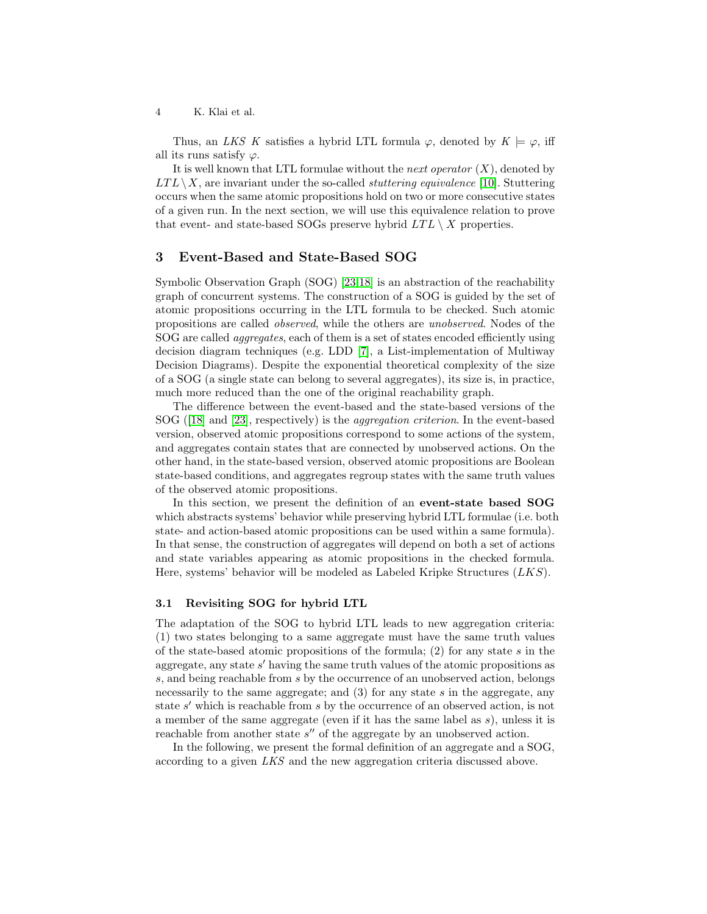Thus, an LKS K satisfies a hybrid LTL formula  $\varphi$ , denoted by  $K \models \varphi$ , iff all its runs satisfy  $\varphi$ .

It is well known that LTL formulae without the *next operator*  $(X)$ , denoted by  $LTL\setminus X$ , are invariant under the so-called *stuttering equivalence* [10]. Stuttering occurs when the same atomic propositions hold on two or more consecutive states of a given run. In the next section, we will use this equivalence relation to prove that event- and state-based SOGs preserve hybrid  $LTL \setminus X$  properties.

### 3 Event-Based and State-Based SOG

Symbolic Observation Graph (SOG) [23,18] is an abstraction of the reachability graph of concurrent systems. The construction of a SOG is guided by the set of atomic propositions occurring in the LTL formula to be checked. Such atomic propositions are called observed, while the others are unobserved. Nodes of the SOG are called aggregates, each of them is a set of states encoded efficiently using decision diagram techniques (e.g. LDD [7], a List-implementation of Multiway Decision Diagrams). Despite the exponential theoretical complexity of the size of a SOG (a single state can belong to several aggregates), its size is, in practice, much more reduced than the one of the original reachability graph.

The difference between the event-based and the state-based versions of the SOG ([18] and [23], respectively) is the aggregation criterion. In the event-based version, observed atomic propositions correspond to some actions of the system, and aggregates contain states that are connected by unobserved actions. On the other hand, in the state-based version, observed atomic propositions are Boolean state-based conditions, and aggregates regroup states with the same truth values of the observed atomic propositions.

In this section, we present the definition of an event-state based SOG which abstracts systems' behavior while preserving hybrid LTL formulae (i.e. both state- and action-based atomic propositions can be used within a same formula). In that sense, the construction of aggregates will depend on both a set of actions and state variables appearing as atomic propositions in the checked formula. Here, systems' behavior will be modeled as Labeled Kripke Structures  $(LKS)$ .

#### 3.1 Revisiting SOG for hybrid LTL

The adaptation of the SOG to hybrid LTL leads to new aggregation criteria: (1) two states belonging to a same aggregate must have the same truth values of the state-based atomic propositions of the formula; (2) for any state s in the aggregate, any state  $s'$  having the same truth values of the atomic propositions as s, and being reachable from s by the occurrence of an unobserved action, belongs necessarily to the same aggregate; and  $(3)$  for any state s in the aggregate, any state s' which is reachable from s by the occurrence of an observed action, is not a member of the same aggregate (even if it has the same label as s), unless it is reachable from another state  $s''$  of the aggregate by an unobserved action.

In the following, we present the formal definition of an aggregate and a SOG, according to a given LKS and the new aggregation criteria discussed above.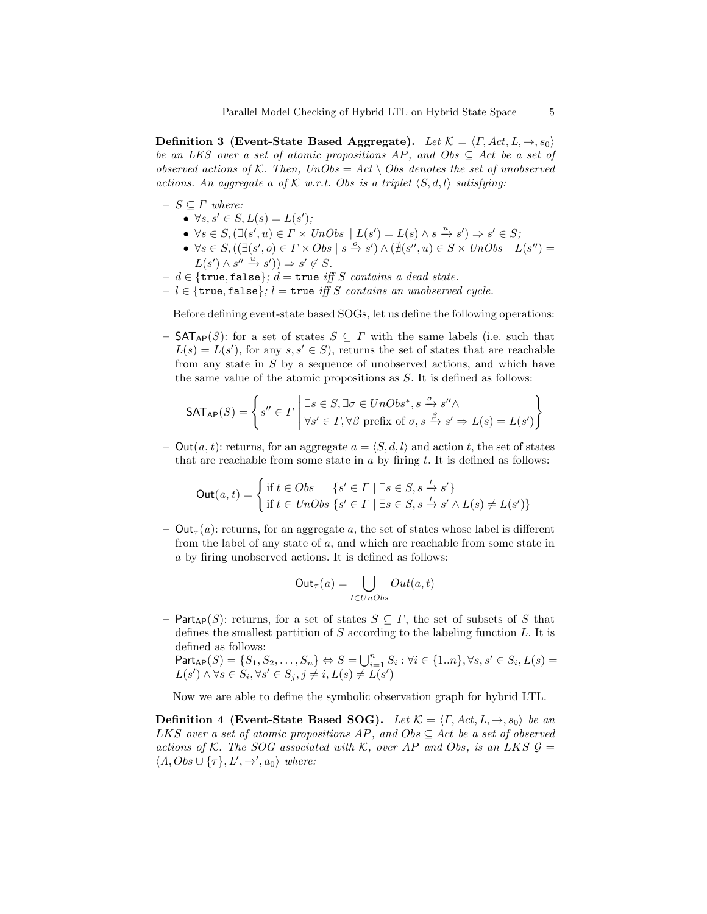Definition 3 (Event-State Based Aggregate). Let  $\mathcal{K} = \langle \Gamma, Act, L, \rightarrow, s_0 \rangle$ be an LKS over a set of atomic propositions AP, and Obs  $\subseteq$  Act be a set of observed actions of K. Then,  $UnObs = Act \setminus Obs$  denotes the set of unobserved actions. An aggregate a of K w.r.t. Obs is a triplet  $\langle S, d, l \rangle$  satisfying:

- $S \subseteq \Gamma$  where:
	- $\forall s, s' \in S, L(s) = L(s')$ ;
	- $\forall s \in S, (\exists (s', u) \in \Gamma \times UnObs \mid L(s') = L(s) \land s \xrightarrow{u} s') \Rightarrow s' \in S;$
	- $\forall s \in S, ((\exists (s', o) \in \Gamma \times Obs \mid s \stackrel{o}{\rightarrow} s') \land (\nexists (s'', u) \in S \times UnObs \mid L(s'') =$  $L(s') \wedge s'' \xrightarrow{u} s') \Rightarrow s' \notin S.$
- $-d \in \{\text{true}, \text{false}\}; d = \text{true}$  iff S contains a dead state.
- $l \in \{true, false\}; l = true \iff S \text{ contains an unobserved cycle.}$

Before defining event-state based SOGs, let us define the following operations:

–  $\mathsf{SAT}_{\mathsf{AP}}(S)$ : for a set of states  $S \subseteq \Gamma$  with the same labels (i.e. such that  $L(s) = L(s')$ , for any  $s, s' \in S$ , returns the set of states that are reachable from any state in S by a sequence of unobserved actions, and which have the same value of the atomic propositions as S. It is defined as follows:

$$
\mathsf{SAT}_{\mathsf{AP}}(S) = \left\{ s'' \in \Gamma \, \middle| \, \exists s \in S, \exists \sigma \in UnObs^*, s \xrightarrow{\sigma} s'' \land \forall s' \in \Gamma, \forall \beta \text{ prefix of } \sigma, s \xrightarrow{\beta} s' \Rightarrow L(s) = L(s') \right\}
$$

– Out(a, t): returns, for an aggregate  $a = \langle S, d, l \rangle$  and action t, the set of states that are reachable from some state in  $a$  by firing  $t$ . It is defined as follows:

$$
\text{Out}(a, t) = \begin{cases} \text{if } t \in Obs & \{s' \in \Gamma \mid \exists s \in S, s \xrightarrow{t} s'\} \\ \text{if } t \in UnObs \{s' \in \Gamma \mid \exists s \in S, s \xrightarrow{t} s' \land L(s) \neq L(s')\} \end{cases}
$$

 $-$  Out<sub> $\tau$ </sub>(a): returns, for an aggregate a, the set of states whose label is different from the label of any state of a, and which are reachable from some state in a by firing unobserved actions. It is defined as follows:

$$
\mathsf{Out}_{\tau}(a) = \bigcup_{t \in UnObs} Out(a, t)
$$

– Part<sub>AP</sub>(S): returns, for a set of states  $S \subseteq \Gamma$ , the set of subsets of S that defines the smallest partition of  $S$  according to the labeling function  $L$ . It is defined as follows:

 $\mathsf{Part}_{\mathsf{AP}}(S) = \{S_1, S_2, \dots, S_n\} \Leftrightarrow S = \bigcup_{i=1}^n S_i : \forall i \in \{1..n\}, \forall s, s' \in S_i, L(s) = \emptyset$  $L(s') \wedge \forall s \in S_i, \forall s' \in S_j, j \neq i, L(s) \neq L(s')$ 

Now we are able to define the symbolic observation graph for hybrid LTL.

**Definition 4 (Event-State Based SOG).** Let  $\mathcal{K} = \langle \Gamma, Act, L, \rightarrow, s_0 \rangle$  be an LKS over a set of atomic propositions AP, and  $Obs \subseteq Act$  be a set of observed actions of K. The SOG associated with K, over AP and Obs, is an LKS  $\mathcal{G} =$  $\langle A, Obs \cup \{\tau\}, L', \rightarrow', a_0 \rangle$  where: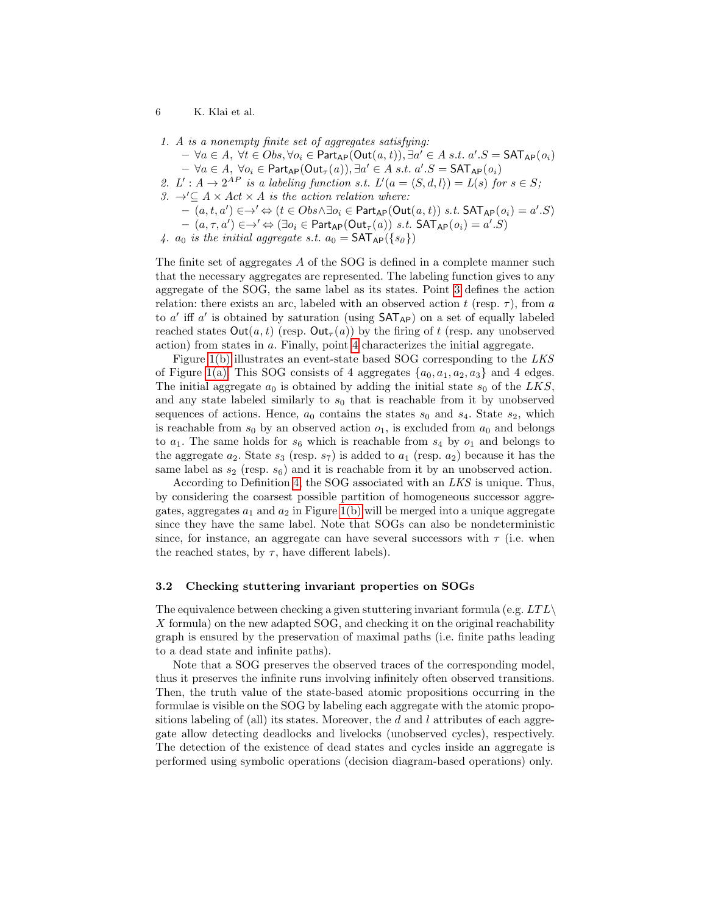- 6 K. Klai et al.
- 1. A is a nonempty finite set of aggregates satisfying:
	- $\forall a \in A, \ \forall t \in Obs, \forall o_i \in \mathsf{Part}_{\mathsf{AP}}(\mathsf{Out}(a, t)), \exists a' \in A \ s.t. \ a'.S = \mathsf{SAT}_{\mathsf{AP}}(o_i)$
	- $\forall a \in A, \ \forall o_i \in \mathsf{Part}_{\mathsf{AP}}(\mathsf{Out}_{\tau}(a)), \exists a' \in A \ s.t. \ a'.S = \mathsf{SAT}_{\mathsf{AP}}(o_i)$
- 2. L':  $A \rightarrow 2^{AP}$  is a labeling function s.t.  $L'(a = \langle S, d, l \rangle) = L(s)$  for  $s \in S$ ;
- 3.  $\rightarrow' \subseteq A \times Act \times A$  is the action relation where:
	- $(a, t, a') \in \rightarrow' \Leftrightarrow (t \in Obs \land \exists o_i \in \mathsf{Part}_{\mathsf{AP}}(\mathsf{Out}(a, t)) \ s.t. \ \mathsf{SAT}_{\mathsf{AP}}(o_i) = a'.S)$
	- $(a, \tau, a') \in \rightarrow' \Leftrightarrow (\exists o_i \in \mathsf{Part}_{\mathsf{AP}}(\mathsf{Out}_{\tau}(a)) \ s.t. \ \mathsf{SAT}_{\mathsf{AP}}(o_i) = a'.S)$
- 4.  $a_0$  is the initial aggregate s.t.  $a_0 = \text{SAT}_{AP}(\{s_0\})$

The finite set of aggregates A of the SOG is defined in a complete manner such that the necessary aggregates are represented. The labeling function gives to any aggregate of the SOG, the same label as its states. Point 3 defines the action relation: there exists an arc, labeled with an observed action t (resp.  $\tau$ ), from a to  $a'$  iff  $a'$  is obtained by saturation (using  $SAT_{AP}$ ) on a set of equally labeled reached states  $Out(a, t)$  (resp.  $Out_{\tau}(a)$ ) by the firing of t (resp. any unobserved action) from states in a. Finally, point 4 characterizes the initial aggregate.

Figure 1(b) illustrates an event-state based SOG corresponding to the LKS of Figure 1(a). This SOG consists of 4 aggregates  $\{a_0, a_1, a_2, a_3\}$  and 4 edges. The initial aggregate  $a_0$  is obtained by adding the initial state  $s_0$  of the LKS, and any state labeled similarly to  $s_0$  that is reachable from it by unobserved sequences of actions. Hence,  $a_0$  contains the states  $s_0$  and  $s_4$ . State  $s_2$ , which is reachable from  $s_0$  by an observed action  $o_1$ , is excluded from  $a_0$  and belongs to  $a_1$ . The same holds for  $s_6$  which is reachable from  $s_4$  by  $o_1$  and belongs to the aggregate  $a_2$ . State  $s_3$  (resp.  $s_7$ ) is added to  $a_1$  (resp.  $a_2$ ) because it has the same label as  $s_2$  (resp.  $s_6$ ) and it is reachable from it by an unobserved action.

According to Definition 4, the SOG associated with an LKS is unique. Thus, by considering the coarsest possible partition of homogeneous successor aggregates, aggregates  $a_1$  and  $a_2$  in Figure 1(b) will be merged into a unique aggregate since they have the same label. Note that SOGs can also be nondeterministic since, for instance, an aggregate can have several successors with  $\tau$  (i.e. when the reached states, by  $\tau$ , have different labels).

#### 3.2 Checking stuttering invariant properties on SOGs

The equivalence between checking a given stuttering invariant formula (e.g.  $LTL\setminus$ X formula) on the new adapted SOG, and checking it on the original reachability graph is ensured by the preservation of maximal paths (i.e. finite paths leading to a dead state and infinite paths).

Note that a SOG preserves the observed traces of the corresponding model, thus it preserves the infinite runs involving infinitely often observed transitions. Then, the truth value of the state-based atomic propositions occurring in the formulae is visible on the SOG by labeling each aggregate with the atomic propositions labeling of (all) its states. Moreover, the d and l attributes of each aggregate allow detecting deadlocks and livelocks (unobserved cycles), respectively. The detection of the existence of dead states and cycles inside an aggregate is performed using symbolic operations (decision diagram-based operations) only.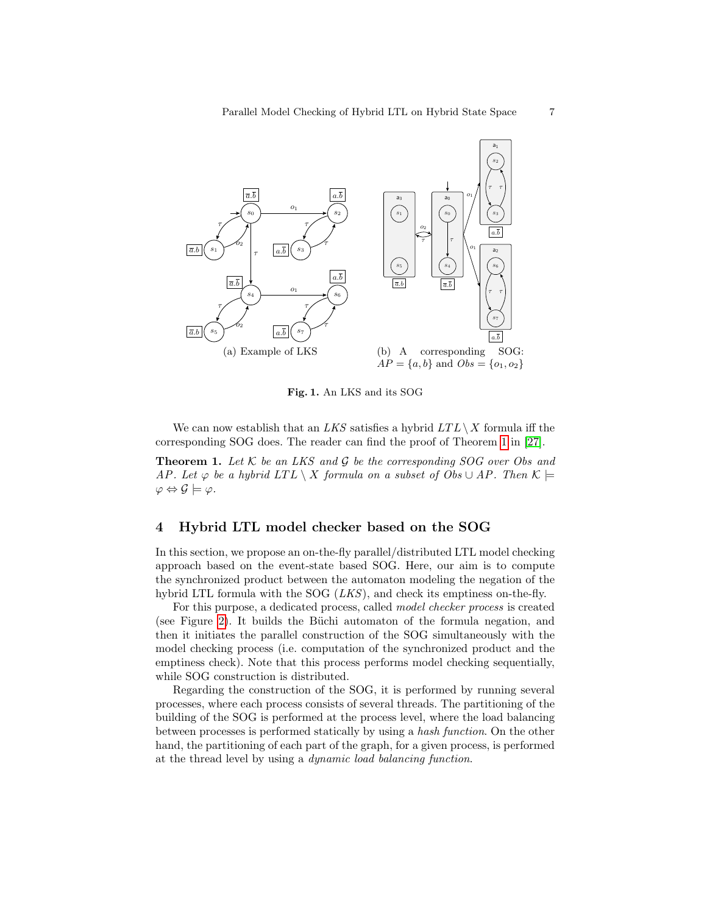

Fig. 1. An LKS and its SOG

We can now establish that an LKS satisfies a hybrid  $LTL\setminus X$  formula iff the corresponding SOG does. The reader can find the proof of Theorem 1 in [27].

**Theorem 1.** Let  $K$  be an LKS and  $G$  be the corresponding SOG over Obs and AP. Let  $\varphi$  be a hybrid LTL \ X formula on a subset of Obs  $\cup$  AP. Then  $\mathcal{K} \models$  $\varphi \Leftrightarrow \mathcal{G} \models \varphi.$ 

# 4 Hybrid LTL model checker based on the SOG

In this section, we propose an on-the-fly parallel/distributed LTL model checking approach based on the event-state based SOG. Here, our aim is to compute the synchronized product between the automaton modeling the negation of the hybrid LTL formula with the SOG  $(LKS)$ , and check its emptiness on-the-fly.

For this purpose, a dedicated process, called model checker process is created (see Figure 2). It builds the Büchi automaton of the formula negation, and then it initiates the parallel construction of the SOG simultaneously with the model checking process (i.e. computation of the synchronized product and the emptiness check). Note that this process performs model checking sequentially, while SOG construction is distributed.

Regarding the construction of the SOG, it is performed by running several processes, where each process consists of several threads. The partitioning of the building of the SOG is performed at the process level, where the load balancing between processes is performed statically by using a hash function. On the other hand, the partitioning of each part of the graph, for a given process, is performed at the thread level by using a dynamic load balancing function.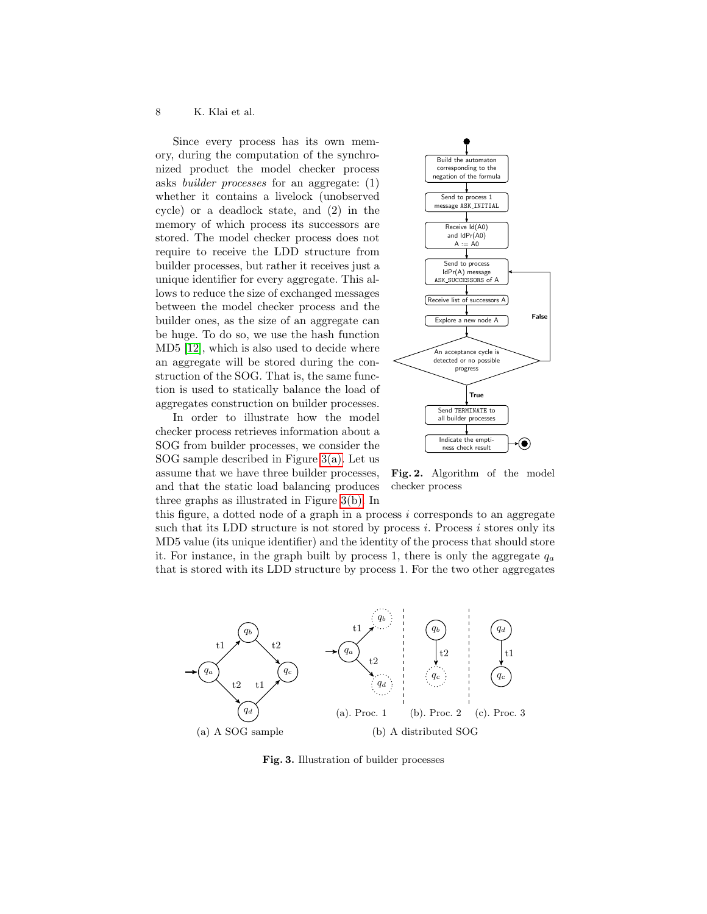Since every process has its own memory, during the computation of the synchronized product the model checker process asks builder processes for an aggregate: (1) whether it contains a livelock (unobserved cycle) or a deadlock state, and (2) in the memory of which process its successors are stored. The model checker process does not require to receive the LDD structure from builder processes, but rather it receives just a unique identifier for every aggregate. This allows to reduce the size of exchanged messages between the model checker process and the builder ones, as the size of an aggregate can be huge. To do so, we use the hash function MD5 [12], which is also used to decide where an aggregate will be stored during the construction of the SOG. That is, the same function is used to statically balance the load of aggregates construction on builder processes.

In order to illustrate how the model checker process retrieves information about a SOG from builder processes, we consider the SOG sample described in Figure 3(a). Let us assume that we have three builder processes, and that the static load balancing produces three graphs as illustrated in Figure 3(b). In



Fig. 2. Algorithm of the model checker process

this figure, a dotted node of a graph in a process i corresponds to an aggregate such that its LDD structure is not stored by process  $i$ . Process  $i$  stores only its MD5 value (its unique identifier) and the identity of the process that should store it. For instance, in the graph built by process 1, there is only the aggregate  $q_a$ that is stored with its LDD structure by process 1. For the two other aggregates



Fig. 3. Illustration of builder processes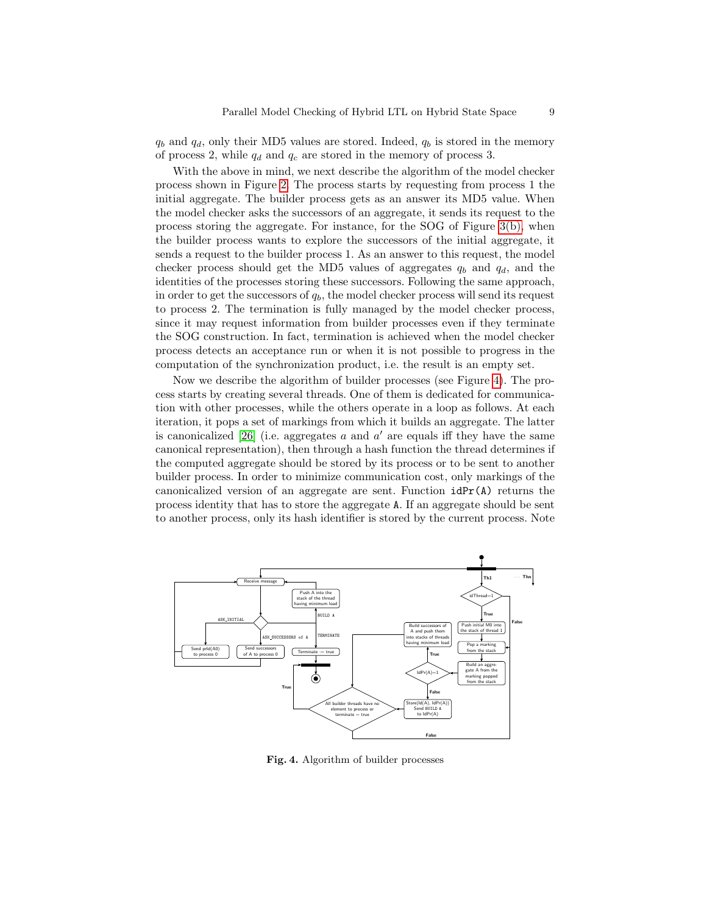$q_b$  and  $q_d$ , only their MD5 values are stored. Indeed,  $q_b$  is stored in the memory of process 2, while  $q_d$  and  $q_c$  are stored in the memory of process 3.

With the above in mind, we next describe the algorithm of the model checker process shown in Figure 2. The process starts by requesting from process 1 the initial aggregate. The builder process gets as an answer its MD5 value. When the model checker asks the successors of an aggregate, it sends its request to the process storing the aggregate. For instance, for the SOG of Figure 3(b), when the builder process wants to explore the successors of the initial aggregate, it sends a request to the builder process 1. As an answer to this request, the model checker process should get the MD5 values of aggregates  $q_b$  and  $q_d$ , and the identities of the processes storing these successors. Following the same approach, in order to get the successors of  $q<sub>b</sub>$ , the model checker process will send its request to process 2. The termination is fully managed by the model checker process, since it may request information from builder processes even if they terminate the SOG construction. In fact, termination is achieved when the model checker process detects an acceptance run or when it is not possible to progress in the computation of the synchronization product, i.e. the result is an empty set.

Now we describe the algorithm of builder processes (see Figure 4). The process starts by creating several threads. One of them is dedicated for communication with other processes, while the others operate in a loop as follows. At each iteration, it pops a set of markings from which it builds an aggregate. The latter is canonicalized  $[26]$  (i.e. aggregates a and  $a'$  are equals iff they have the same canonical representation), then through a hash function the thread determines if the computed aggregate should be stored by its process or to be sent to another builder process. In order to minimize communication cost, only markings of the canonicalized version of an aggregate are sent. Function  $idPr(A)$  returns the process identity that has to store the aggregate A. If an aggregate should be sent to another process, only its hash identifier is stored by the current process. Note



Fig. 4. Algorithm of builder processes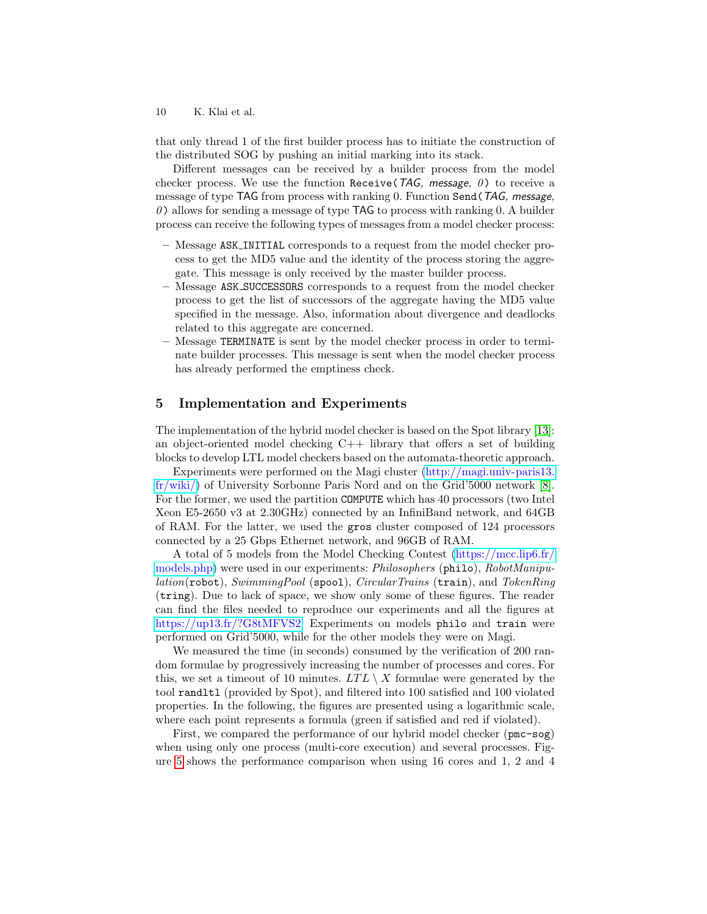that only thread 1 of the first builder process has to initiate the construction of the distributed SOG by pushing an initial marking into its stack.

Different messages can be received by a builder process from the model checker process. We use the function Receive (TAG, message,  $\theta$ ) to receive a message of type TAG from process with ranking 0. Function Send(TAG, message,  $\theta$ ) allows for sending a message of type TAG to process with ranking 0. A builder process can receive the following types of messages from a model checker process:

- Message ASK INITIAL corresponds to a request from the model checker process to get the MD5 value and the identity of the process storing the aggregate. This message is only received by the master builder process.
- Message ASK SUCCESSORS corresponds to a request from the model checker process to get the list of successors of the aggregate having the MD5 value specified in the message. Also, information about divergence and deadlocks related to this aggregate are concerned.
- Message TERMINATE is sent by the model checker process in order to terminate builder processes. This message is sent when the model checker process has already performed the emptiness check.

# 5 Implementation and Experiments

The implementation of the hybrid model checker is based on the Spot library [13]: an object-oriented model checking  $C++$  library that offers a set of building blocks to develop LTL model checkers based on the automata-theoretic approach.

Experiments were performed on the Magi cluster [\(http://magi.univ-paris13.](http://magi.univ-paris13.fr/wiki/) [fr/wiki/\)](http://magi.univ-paris13.fr/wiki/) of University Sorbonne Paris Nord and on the Grid'5000 network [8]. For the former, we used the partition COMPUTE which has 40 processors (two Intel Xeon E5-2650 v3 at 2.30GHz) connected by an InfiniBand network, and 64GB of RAM. For the latter, we used the gros cluster composed of 124 processors connected by a 25 Gbps Ethernet network, and 96GB of RAM.

A total of 5 models from the Model Checking Contest [\(https://mcc.lip6.fr/](https://mcc.lip6.fr/models.php) [models.php\)](https://mcc.lip6.fr/models.php) were used in our experiments: Philosophers (philo), RobotManipu $lation(robot), SwimmingPool$  (spool), *CircularTrains* (train), and *TokenRing* (tring). Due to lack of space, we show only some of these figures. The reader can find the files needed to reproduce our experiments and all the figures at [https://up13.fr/?G8tMFVS2.](https://up13.fr/?G8tMFVS2) Experiments on models philo and train were performed on Grid'5000, while for the other models they were on Magi.

We measured the time (in seconds) consumed by the verification of 200 random formulae by progressively increasing the number of processes and cores. For this, we set a timeout of 10 minutes.  $LTL \setminus X$  formulae were generated by the tool randltl (provided by Spot), and filtered into 100 satisfied and 100 violated properties. In the following, the figures are presented using a logarithmic scale, where each point represents a formula (green if satisfied and red if violated).

First, we compared the performance of our hybrid model checker (pmc-sog) when using only one process (multi-core execution) and several processes. Figure 5 shows the performance comparison when using 16 cores and 1, 2 and 4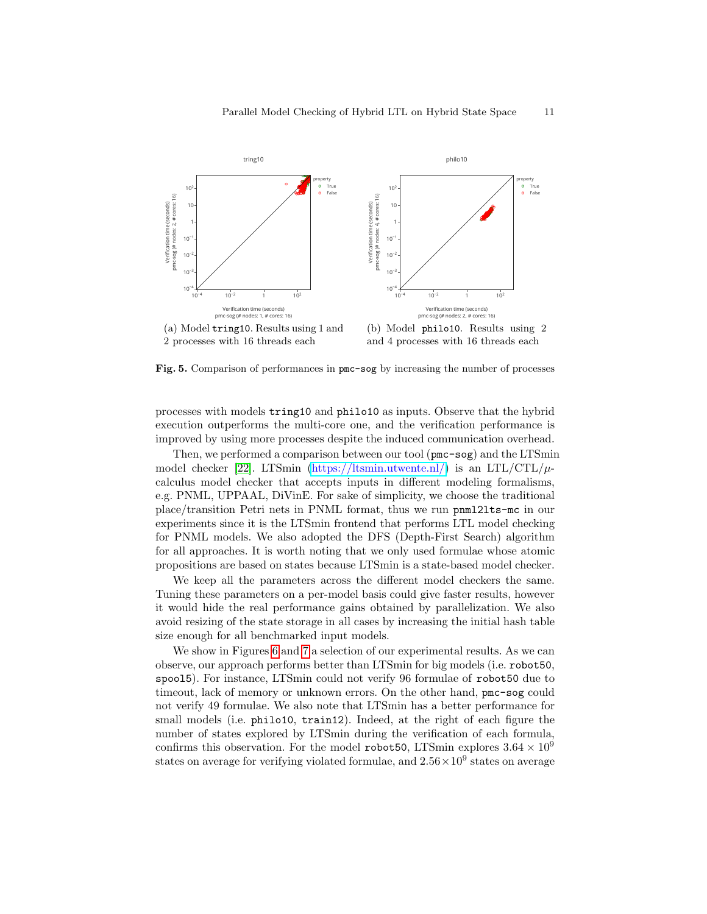

Fig. 5. Comparison of performances in pmc-sog by increasing the number of processes

processes with models tring10 and philo10 as inputs. Observe that the hybrid execution outperforms the multi-core one, and the verification performance is improved by using more processes despite the induced communication overhead.

Then, we performed a comparison between our tool (pmc-sog) and the LTSmin model checker [22]. LTSmin [\(https://ltsmin.utwente.nl/\)](https://ltsmin.utwente.nl/) is an LTL/CTL/ $\mu$ calculus model checker that accepts inputs in different modeling formalisms, e.g. PNML, UPPAAL, DiVinE. For sake of simplicity, we choose the traditional place/transition Petri nets in PNML format, thus we run pnml2lts-mc in our experiments since it is the LTSmin frontend that performs LTL model checking for PNML models. We also adopted the DFS (Depth-First Search) algorithm for all approaches. It is worth noting that we only used formulae whose atomic propositions are based on states because LTSmin is a state-based model checker.

We keep all the parameters across the different model checkers the same. Tuning these parameters on a per-model basis could give faster results, however it would hide the real performance gains obtained by parallelization. We also avoid resizing of the state storage in all cases by increasing the initial hash table size enough for all benchmarked input models.

We show in Figures 6 and 7 a selection of our experimental results. As we can observe, our approach performs better than LTSmin for big models (i.e. robot50, spool5). For instance, LTSmin could not verify 96 formulae of robot50 due to timeout, lack of memory or unknown errors. On the other hand, pmc-sog could not verify 49 formulae. We also note that LTSmin has a better performance for small models (i.e. philo10, train12). Indeed, at the right of each figure the number of states explored by LTSmin during the verification of each formula, confirms this observation. For the model robot50, LTSmin explores  $3.64 \times 10^9$ states on average for verifying violated formulae, and  $2.56 \times 10^9$  states on average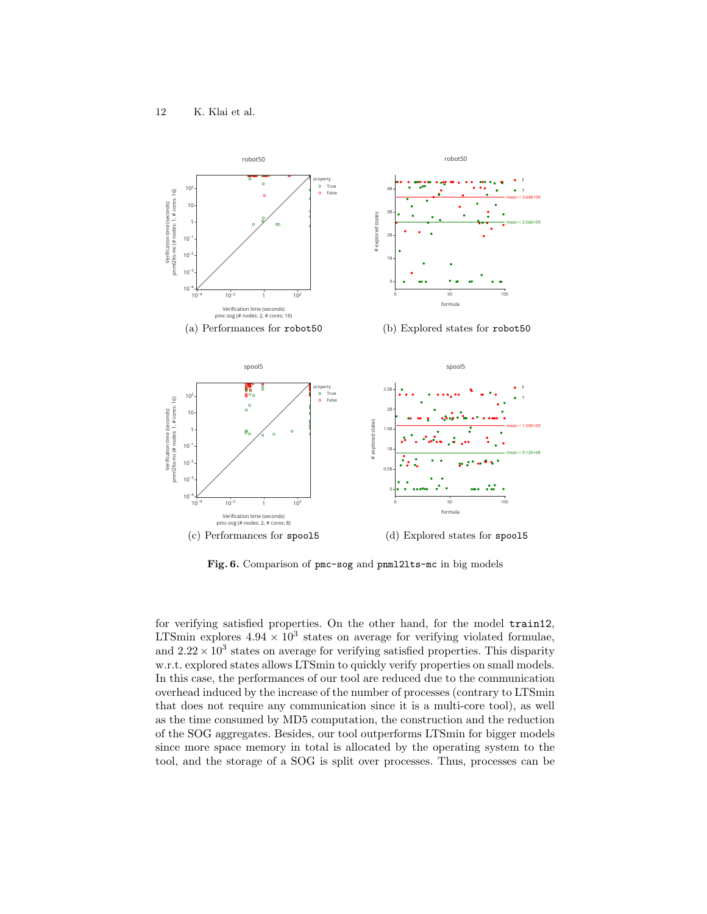

Fig. 6. Comparison of pmc-sog and pnml2lts-mc in big models

for verifying satisfied properties. On the other hand, for the model train12, LTSmin explores  $4.94 \times 10^3$  states on average for verifying violated formulae, and  $2.22 \times 10^3$  states on average for verifying satisfied properties. This disparity w.r.t. explored states allows LTSmin to quickly verify properties on small models. In this case, the performances of our tool are reduced due to the communication overhead induced by the increase of the number of processes (contrary to LTSmin that does not require any communication since it is a multi-core tool), as well as the time consumed by MD5 computation, the construction and the reduction of the SOG aggregates. Besides, our tool outperforms LTSmin for bigger models since more space memory in total is allocated by the operating system to the tool, and the storage of a SOG is split over processes. Thus, processes can be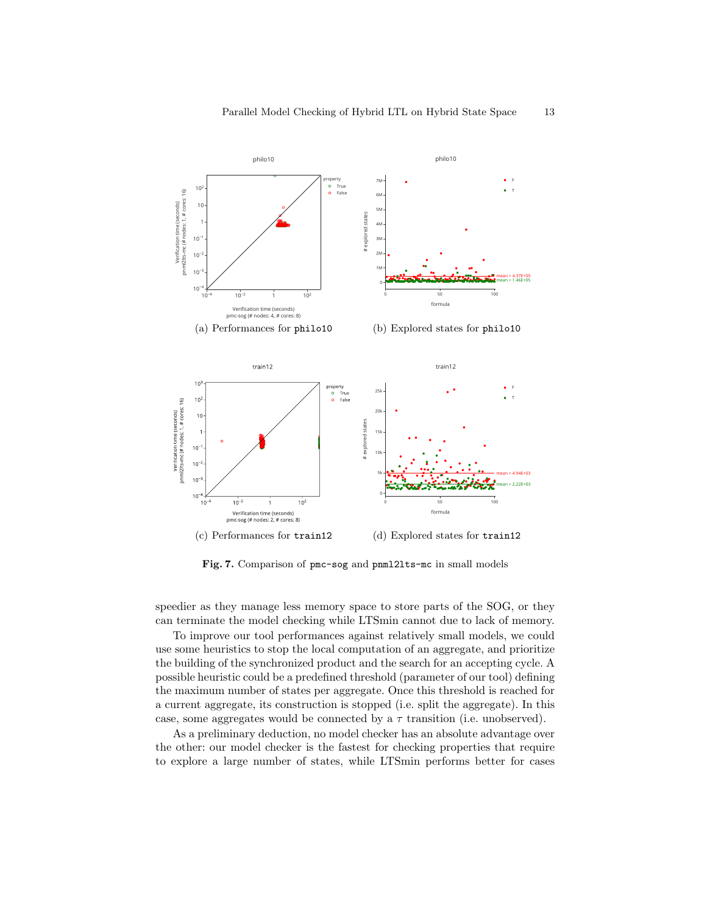

Fig. 7. Comparison of pmc-sog and pnml2lts-mc in small models

speedier as they manage less memory space to store parts of the SOG, or they can terminate the model checking while LTSmin cannot due to lack of memory.

To improve our tool performances against relatively small models, we could use some heuristics to stop the local computation of an aggregate, and prioritize the building of the synchronized product and the search for an accepting cycle. A possible heuristic could be a predefined threshold (parameter of our tool) defining the maximum number of states per aggregate. Once this threshold is reached for a current aggregate, its construction is stopped (i.e. split the aggregate). In this case, some aggregates would be connected by a  $\tau$  transition (i.e. unobserved).

As a preliminary deduction, no model checker has an absolute advantage over the other: our model checker is the fastest for checking properties that require to explore a large number of states, while LTSmin performs better for cases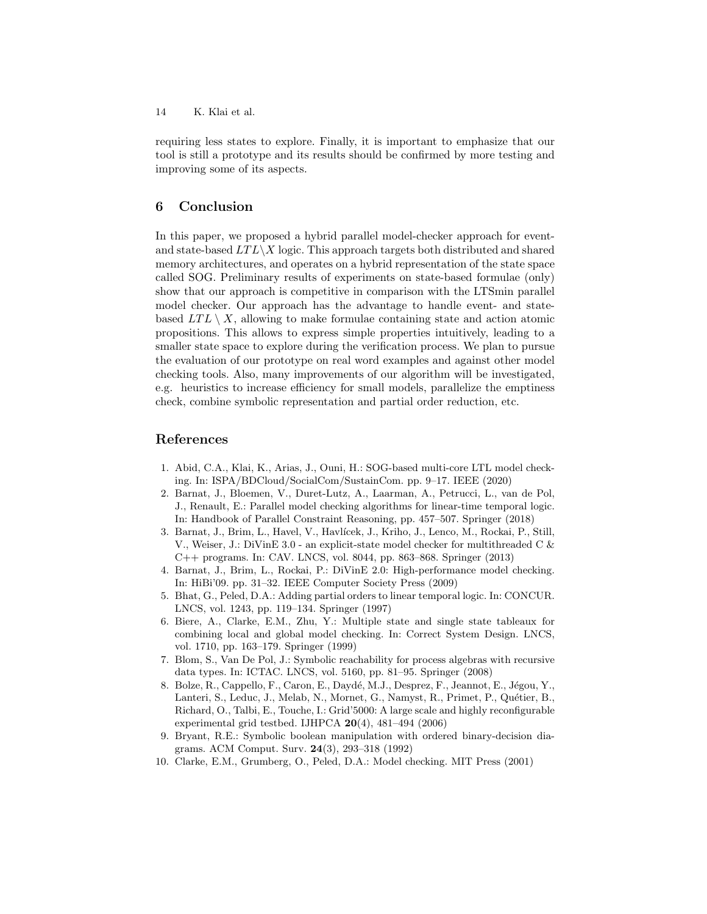requiring less states to explore. Finally, it is important to emphasize that our tool is still a prototype and its results should be confirmed by more testing and improving some of its aspects.

# 6 Conclusion

In this paper, we proposed a hybrid parallel model-checker approach for eventand state-based  $LTL\setminus X$  logic. This approach targets both distributed and shared memory architectures, and operates on a hybrid representation of the state space called SOG. Preliminary results of experiments on state-based formulae (only) show that our approach is competitive in comparison with the LTSmin parallel model checker. Our approach has the advantage to handle event- and statebased  $LTL \setminus X$ , allowing to make formulae containing state and action atomic propositions. This allows to express simple properties intuitively, leading to a smaller state space to explore during the verification process. We plan to pursue the evaluation of our prototype on real word examples and against other model checking tools. Also, many improvements of our algorithm will be investigated, e.g. heuristics to increase efficiency for small models, parallelize the emptiness check, combine symbolic representation and partial order reduction, etc.

## References

- 1. Abid, C.A., Klai, K., Arias, J., Ouni, H.: SOG-based multi-core LTL model checking. In: ISPA/BDCloud/SocialCom/SustainCom. pp. 9–17. IEEE (2020)
- 2. Barnat, J., Bloemen, V., Duret-Lutz, A., Laarman, A., Petrucci, L., van de Pol, J., Renault, E.: Parallel model checking algorithms for linear-time temporal logic. In: Handbook of Parallel Constraint Reasoning, pp. 457–507. Springer (2018)
- 3. Barnat, J., Brim, L., Havel, V., Havlícek, J., Kriho, J., Lenco, M., Rockai, P., Still, V., Weiser, J.: DiVinE 3.0 - an explicit-state model checker for multithreaded C & C++ programs. In: CAV. LNCS, vol. 8044, pp. 863–868. Springer (2013)
- 4. Barnat, J., Brim, L., Rockai, P.: DiVinE 2.0: High-performance model checking. In: HiBi'09. pp. 31–32. IEEE Computer Society Press (2009)
- 5. Bhat, G., Peled, D.A.: Adding partial orders to linear temporal logic. In: CONCUR. LNCS, vol. 1243, pp. 119–134. Springer (1997)
- 6. Biere, A., Clarke, E.M., Zhu, Y.: Multiple state and single state tableaux for combining local and global model checking. In: Correct System Design. LNCS, vol. 1710, pp. 163–179. Springer (1999)
- 7. Blom, S., Van De Pol, J.: Symbolic reachability for process algebras with recursive data types. In: ICTAC. LNCS, vol. 5160, pp. 81–95. Springer (2008)
- 8. Bolze, R., Cappello, F., Caron, E., Daydé, M.J., Desprez, F., Jeannot, E., Jégou, Y., Lanteri, S., Leduc, J., Melab, N., Mornet, G., Namyst, R., Primet, P., Quétier, B., Richard, O., Talbi, E., Touche, I.: Grid'5000: A large scale and highly reconfigurable experimental grid testbed. IJHPCA 20(4), 481–494 (2006)
- 9. Bryant, R.E.: Symbolic boolean manipulation with ordered binary-decision diagrams. ACM Comput. Surv. 24(3), 293–318 (1992)
- 10. Clarke, E.M., Grumberg, O., Peled, D.A.: Model checking. MIT Press (2001)